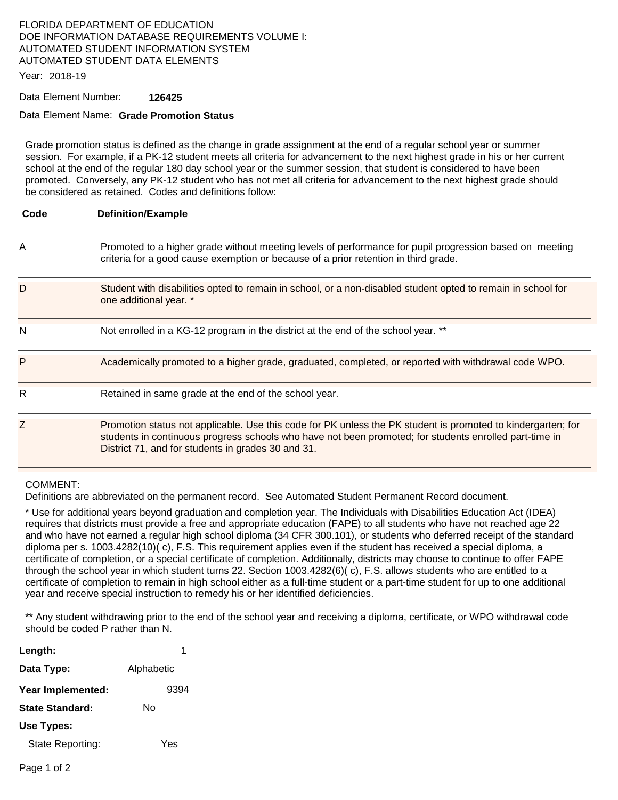# FLORIDA DEPARTMENT OF EDUCATION DOE INFORMATION DATABASE REQUIREMENTS VOLUME I: AUTOMATED STUDENT INFORMATION SYSTEM AUTOMATED STUDENT DATA ELEMENTS

Year: 2018-19

## Data Element Number: **126425**

# Data Element Name: **Grade Promotion Status**

Grade promotion status is defined as the change in grade assignment at the end of a regular school year or summer session. For example, if a PK-12 student meets all criteria for advancement to the next highest grade in his or her current school at the end of the regular 180 day school year or the summer session, that student is considered to have been promoted. Conversely, any PK-12 student who has not met all criteria for advancement to the next highest grade should be considered as retained. Codes and definitions follow:

#### **Code Definition/Example**

A Promoted to a higher grade without meeting levels of performance for pupil progression based on meeting criteria for a good cause exemption or because of a prior retention in third grade.

| D | Student with disabilities opted to remain in school, or a non-disabled student opted to remain in school for<br>one additional year. *                                                                                                                                       |
|---|------------------------------------------------------------------------------------------------------------------------------------------------------------------------------------------------------------------------------------------------------------------------------|
| N | Not enrolled in a KG-12 program in the district at the end of the school year. **                                                                                                                                                                                            |
| P | Academically promoted to a higher grade, graduated, completed, or reported with withdrawal code WPO.                                                                                                                                                                         |
| R | Retained in same grade at the end of the school year.                                                                                                                                                                                                                        |
| Z | Promotion status not applicable. Use this code for PK unless the PK student is promoted to kindergarten; for<br>students in continuous progress schools who have not been promoted; for students enrolled part-time in<br>District 71, and for students in grades 30 and 31. |

## COMMENT:

Definitions are abbreviated on the permanent record. See Automated Student Permanent Record document.

\* Use for additional years beyond graduation and completion year. The Individuals with Disabilities Education Act (IDEA) requires that districts must provide a free and appropriate education (FAPE) to all students who have not reached age 22 and who have not earned a regular high school diploma (34 CFR 300.101), or students who deferred receipt of the standard diploma per s. 1003.4282(10)( c), F.S. This requirement applies even if the student has received a special diploma, a certificate of completion, or a special certificate of completion. Additionally, districts may choose to continue to offer FAPE through the school year in which student turns 22. Section 1003.4282(6)( c), F.S. allows students who are entitled to a certificate of completion to remain in high school either as a full-time student or a part-time student for up to one additional year and receive special instruction to remedy his or her identified deficiencies.

\*\* Any student withdrawing prior to the end of the school year and receiving a diploma, certificate, or WPO withdrawal code should be coded P rather than N.

| Length:           |            |
|-------------------|------------|
| Data Type:        | Alphabetic |
| Year Implemented: | 9394       |
| State Standard:   | N٥         |
| Use Types:        |            |
| State Reporting:  | Yes        |